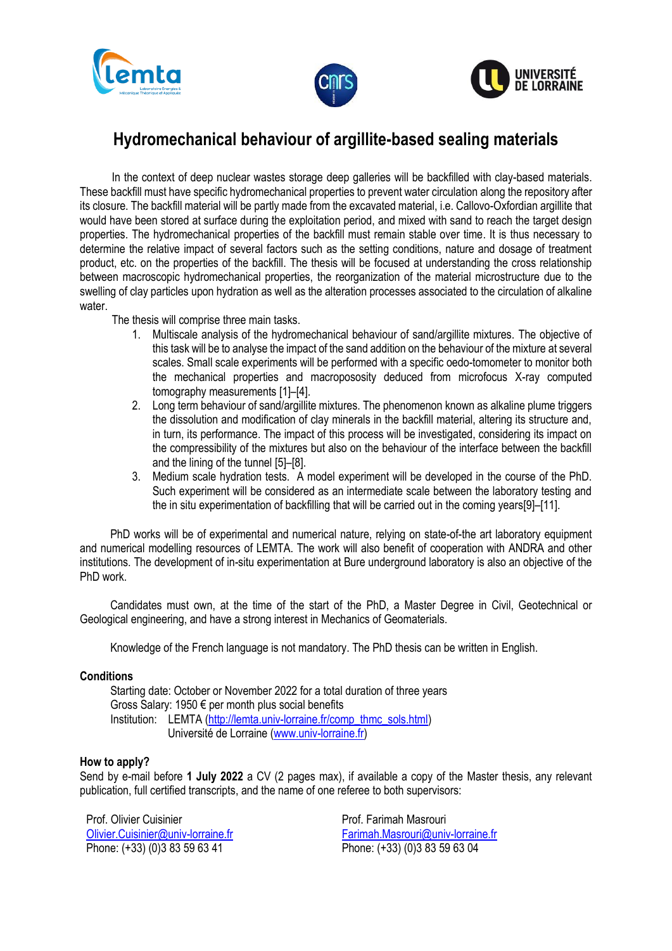





## **Hydromechanical behaviour of argillite-based sealing materials**

In the context of deep nuclear wastes storage deep galleries will be backfilled with clay-based materials. These backfill must have specific hydromechanical properties to prevent water circulation along the repository after its closure. The backfill material will be partly made from the excavated material, i.e. Callovo-Oxfordian argillite that would have been stored at surface during the exploitation period, and mixed with sand to reach the target design properties. The hydromechanical properties of the backfill must remain stable over time. It is thus necessary to determine the relative impact of several factors such as the setting conditions, nature and dosage of treatment product, etc. on the properties of the backfill. The thesis will be focused at understanding the cross relationship between macroscopic hydromechanical properties, the reorganization of the material microstructure due to the swelling of clay particles upon hydration as well as the alteration processes associated to the circulation of alkaline water

The thesis will comprise three main tasks.

- 1. Multiscale analysis of the hydromechanical behaviour of sand/argillite mixtures. The objective of this task will be to analyse the impact of the sand addition on the behaviour of the mixture at several scales. Small scale experiments will be performed with a specific oedo-tomometer to monitor both the mechanical properties and macropososity deduced from microfocus X-ray computed tomography measurements [1]–[4].
- 2. Long term behaviour of sand/argillite mixtures. The phenomenon known as alkaline plume triggers the dissolution and modification of clay minerals in the backfill material, altering its structure and, in turn, its performance. The impact of this process will be investigated, considering its impact on the compressibility of the mixtures but also on the behaviour of the interface between the backfill and the lining of the tunnel [5]–[8].
- 3. Medium scale hydration tests. A model experiment will be developed in the course of the PhD. Such experiment will be considered as an intermediate scale between the laboratory testing and the in situ experimentation of backfilling that will be carried out in the coming years[9]–[11].

PhD works will be of experimental and numerical nature, relying on state-of-the art laboratory equipment and numerical modelling resources of LEMTA. The work will also benefit of cooperation with ANDRA and other institutions. The development of in-situ experimentation at Bure underground laboratory is also an objective of the PhD work.

Candidates must own, at the time of the start of the PhD, a Master Degree in Civil, Geotechnical or Geological engineering, and have a strong interest in Mechanics of Geomaterials.

Knowledge of the French language is not mandatory. The PhD thesis can be written in English.

## **Conditions**

Starting date: October or November 2022 for a total duration of three years Gross Salary: 1950 € per month plus social benefits Institution: LEMTA [\(http://lemta.univ-lorraine.fr/comp\\_thmc\\_sols.html\)](http://lemta.univ-lorraine.fr/comp_thmc_sols.html) Université de Lorraine [\(www.univ-lorraine.fr\)](http://www.univ-lorraine.fr/)

## **How to apply?**

Send by e-mail before **1 July 2022** a CV (2 pages max), if available a copy of the Master thesis, any relevant publication, full certified transcripts, and the name of one referee to both supervisors:

Prof. Olivier Cuisinier [Olivier.Cuisinier@univ-lorraine.fr](mailto:Olivier.Cuisinier@univ-lorraine.fr) Phone: (+33) (0)3 83 59 63 41

Prof. Farimah Masrouri [Farimah.Masrouri@univ-lorraine.fr](mailto:Farimah.Masrouri@univ-lorraine.fr) Phone: (+33) (0)3 83 59 63 04